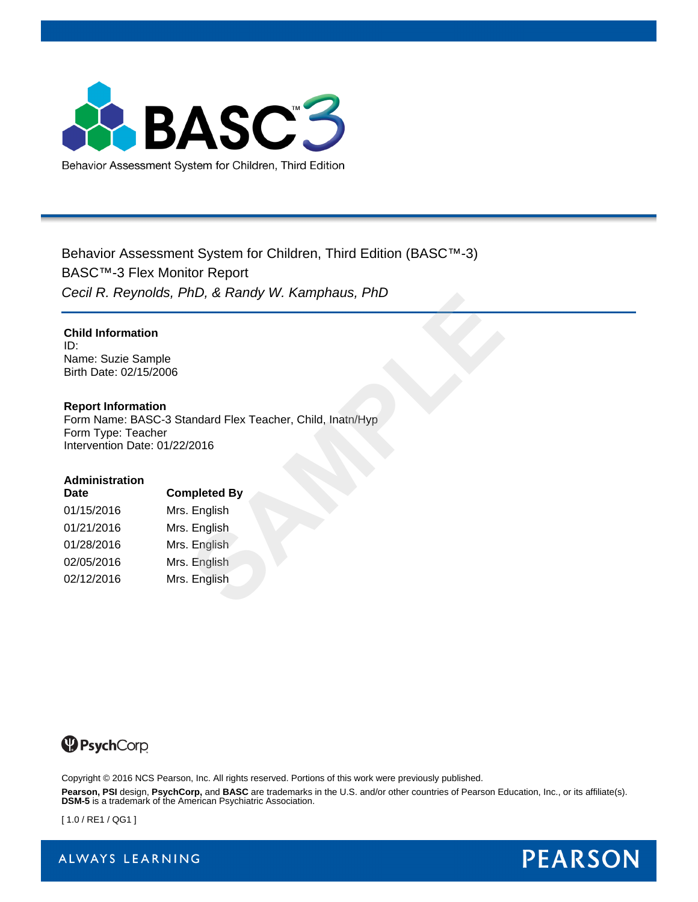

Behavior Assessment System for Children, Third Edition (BASC™-3) BASC™-3 Flex Monitor Report *Cecil R. Reynolds, PhD, & Randy W. Kamphaus, PhD*

### **Child Information**

ID: Name: Suzie Sample Birth Date: 02/15/2006

### **Report Information**

Form Name: BASC-3 Standard Flex Teacher, Child, Inatn/Hyp Form Type: Teacher Intervention Date: 01/22/2016 **SAMPLER CONTROLLER SEARCH CONTROLLER SEARCH CONTROLLER SEARCH CONTROLLER SEARCH CONTROLLER SEARCH CONTROLLER SEARCH CONTROLLER SEARCH CONTROLLER SEARCH SEARCH SEARCH SEARCH SEARCH SEARCH SEARCH SEARCH SEARCH SEARCH SEARCH** 

#### **Administration**

| <b>Date</b> | <b>Completed By</b> |  |  |  |
|-------------|---------------------|--|--|--|
| 01/15/2016  | Mrs. English        |  |  |  |
| 01/21/2016  | Mrs. English        |  |  |  |
| 01/28/2016  | Mrs. English        |  |  |  |
| 02/05/2016  | Mrs. English        |  |  |  |
| 02/12/2016  | Mrs. English        |  |  |  |



Copyright © 2016 NCS Pearson, Inc. All rights reserved. Portions of this work were previously published.

**Pearson, PSI** design, **PsychCorp,** and **BASC** are trademarks in the U.S. and/or other countries of Pearson Education, Inc., or its affiliate(s). **DSM-5** is a trademark of the American Psychiatric Association.

[ 1.0 / RE1 / QG1 ]

ALWAYS LEARNING

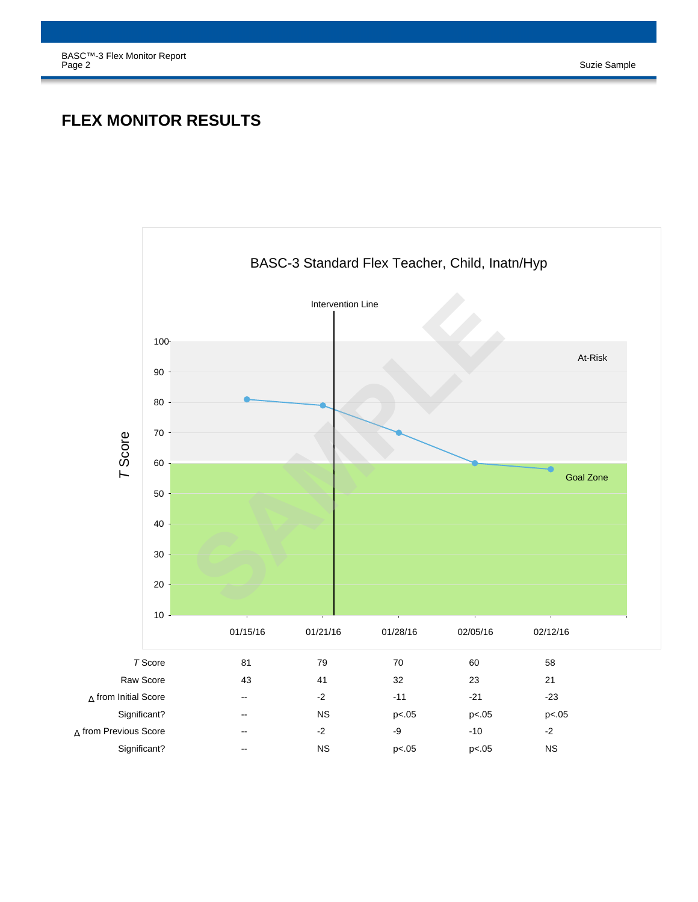# **FLEX MONITOR RESULTS**

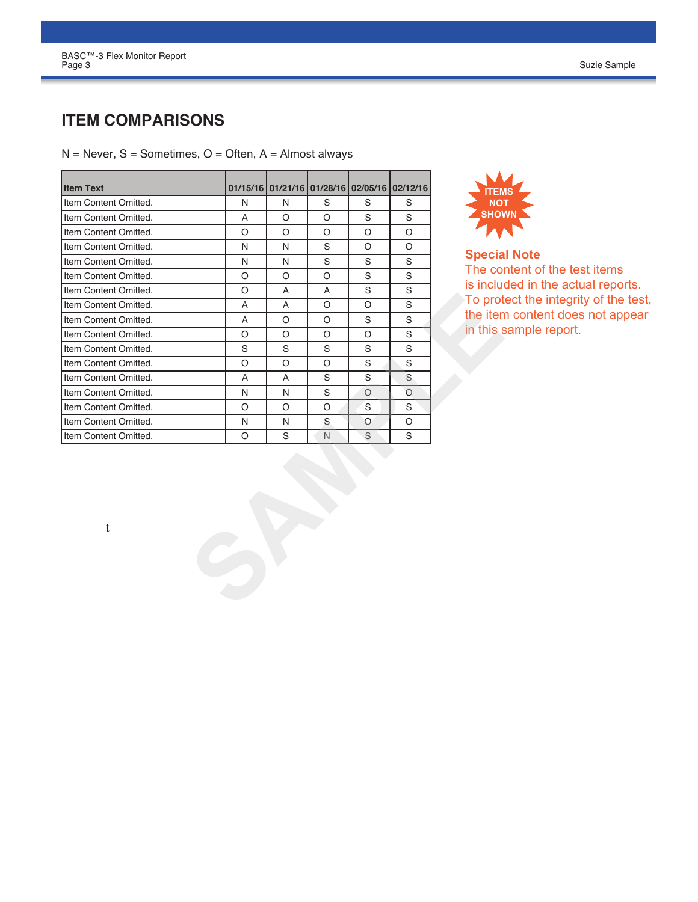# **ITEM COMPARISONS**

 $N =$  Never, S = Sometimes, O = Often, A = Almost always

| <b>Item Text</b>      |              |              |              | 01/15/16 01/21/16 01/28/16 02/05/16 | 02/12/16 |               |
|-----------------------|--------------|--------------|--------------|-------------------------------------|----------|---------------|
| Item Content Omitted. | N            | N            | S            | S                                   | S        |               |
| Item Content Omitted. | A            | O            | $\circ$      | S                                   | S        |               |
| Item Content Omitted. | $\circ$      | $\circ$      | O            | $\circ$                             | O        |               |
| Item Content Omitted. | N            | N            | S            | O                                   | $\circ$  |               |
| Item Content Omitted. |              |              | S            | S                                   | S        | <b>Specia</b> |
|                       | N<br>$\circ$ | N<br>$\circ$ | $\circ$      |                                     |          | The cor       |
| Item Content Omitted. |              |              |              | S<br>S                              | S        | is includ     |
| Item Content Omitted. | O            | Α            | Α<br>$\circ$ |                                     | S<br>S   | To prot       |
| Item Content Omitted. | A            | A            |              | O                                   |          | the iten      |
| Item Content Omitted. | A            | O            | O            | S                                   | S        | in this s     |
| Item Content Omitted. | $\circ$      | $\circ$      | $\circ$      | $\circ$                             | S        |               |
| Item Content Omitted. | S            | S            | S            | S                                   | S        |               |
| Item Content Omitted. | $\circ$      | $\circ$      | O            | S                                   | S        |               |
| Item Content Omitted. | A            | A            | S            | S                                   | S        |               |
| Item Content Omitted. | N            | N            | S            | $\circ$                             | $\circ$  |               |
| Item Content Omitted. | O            | $\circ$      | O            | S                                   | S        |               |
| Item Content Omitted. | N            | N            | S            | $\circ$                             | O        |               |
| Item Content Omitted. | $\circ$      | S            | N.           | S                                   | S        |               |
|                       |              |              |              |                                     |          |               |
|                       |              |              |              |                                     |          |               |
| t                     |              |              |              |                                     |          |               |
|                       |              |              |              |                                     |          |               |
|                       |              |              |              |                                     |          |               |
|                       |              |              |              |                                     |          |               |



**Special Note** The content of the test items is included in the actual reports. To protect the integrity of the test, the item content does not appear in this sample report.